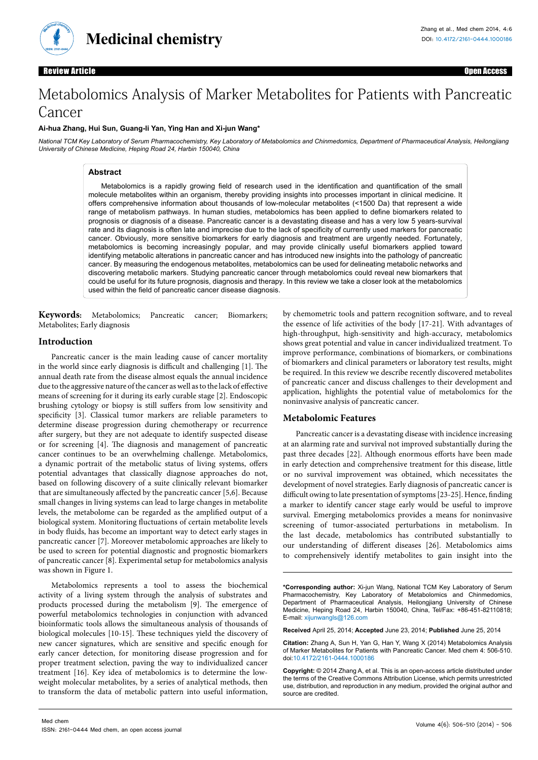

**Medicinal chemistry**

### Review Article Open Access

# Metabolomics Analysis of Marker Metabolites for Patients with Pancreatic Cancer

### **Ai-hua Zhang, Hui Sun, Guang-li Yan, Ying Han and Xi-jun Wang\***

*National TCM Key Laboratory of Serum Pharmacochemistry, Key Laboratory of Metabolomics and Chinmedomics, Department of Pharmaceutical Analysis, Heilongjiang University of Chinese Medicine, Heping Road 24, Harbin 150040, China*

# **Abstract**

Metabolomics is a rapidly growing field of research used in the identification and quantification of the small molecule metabolites within an organism, thereby providing insights into processes important in clinical medicine. It offers comprehensive information about thousands of low-molecular metabolites (<1500 Da) that represent a wide range of metabolism pathways. In human studies, metabolomics has been applied to define biomarkers related to prognosis or diagnosis of a disease. Pancreatic cancer is a devastating disease and has a very low 5 years-survival rate and its diagnosis is often late and imprecise due to the lack of specificity of currently used markers for pancreatic cancer. Obviously, more sensitive biomarkers for early diagnosis and treatment are urgently needed. Fortunately, metabolomics is becoming increasingly popular, and may provide clinically useful biomarkers applied toward identifying metabolic alterations in pancreatic cancer and has introduced new insights into the pathology of pancreatic cancer. By measuring the endogenous metabolites, metabolomics can be used for delineating metabolic networks and discovering metabolic markers. Studying pancreatic cancer through metabolomics could reveal new biomarkers that could be useful for its future prognosis, diagnosis and therapy. In this review we take a closer look at the metabolomics used within the field of pancreatic cancer disease diagnosis.

**Keywords:** Metabolomics; Pancreatic cancer; Biomarkers; Metabolites; Early diagnosis

### **Introduction**

Pancreatic cancer is the main leading cause of cancer mortality in the world since early diagnosis is difficult and challenging [1]. The annual death rate from the disease almost equals the annual incidence due to the aggressive nature of the cancer as well as to the lack of effective means of screening for it during its early curable stage [2]. Endoscopic brushing cytology or biopsy is still suffers from low sensitivity and specificity [3]. Classical tumor markers are reliable parameters to determine disease progression during chemotherapy or recurrence after surgery, but they are not adequate to identify suspected disease or for screening [4]. The diagnosis and management of pancreatic cancer continues to be an overwhelming challenge. Metabolomics, a dynamic portrait of the metabolic status of living systems, offers potential advantages that classically diagnose approaches do not, based on following discovery of a suite clinically relevant biomarker that are simultaneously affected by the pancreatic cancer [5,6]. Because small changes in living systems can lead to large changes in metabolite levels, the metabolome can be regarded as the amplified output of a biological system. Monitoring fluctuations of certain metabolite levels in body fluids, has become an important way to detect early stages in pancreatic cancer [7]. Moreover metabolomic approaches are likely to be used to screen for potential diagnostic and prognostic biomarkers of pancreatic cancer [8]. Experimental setup for metabolomics analysis was shown in Figure 1.

Metabolomics represents a tool to assess the biochemical activity of a living system through the analysis of substrates and products processed during the metabolism [9]. The emergence of powerful metabolomics technologies in conjunction with advanced bioinformatic tools allows the simultaneous analysis of thousands of biological molecules [10-15]. These techniques yield the discovery of new cancer signatures, which are sensitive and specific enough for early cancer detection, for monitoring disease progression and for proper treatment selection, paving the way to individualized cancer treatment [16]. Key idea of metabolomics is to determine the lowweight molecular metabolites, by a series of analytical methods, then to transform the data of metabolic pattern into useful information, by chemometric tools and pattern recognition software, and to reveal the essence of life activities of the body [17-21]. With advantages of high-throughput, high-sensitivity and high-accuracy, metabolomics shows great potential and value in cancer individualized treatment. To improve performance, combinations of biomarkers, or combinations of biomarkers and clinical parameters or laboratory test results, might be required. In this review we describe recently discovered metabolites of pancreatic cancer and discuss challenges to their development and application, highlights the potential value of metabolomics for the noninvasive analysis of pancreatic cancer.

### **Metabolomic Features**

Pancreatic cancer is a devastating disease with incidence increasing at an alarming rate and survival not improved substantially during the past three decades [22]. Although enormous efforts have been made in early detection and comprehensive treatment for this disease, little or no survival improvement was obtained, which necessitates the development of novel strategies. Early diagnosis of pancreatic cancer is difficult owing to late presentation of symptoms [23-25]. Hence, finding a marker to identify cancer stage early would be useful to improve survival. Emerging metabolomics provides a means for noninvasive screening of tumor-associated perturbations in metabolism. In the last decade, metabolomics has contributed substantially to our understanding of different diseases [26]. Metabolomics aims to comprehensively identify metabolites to gain insight into the

**\*Corresponding author:** Xi-jun Wang, National TCM Key Laboratory of Serum Pharmacochemistry, Key Laboratory of Metabolomics and Chinmedomics, Department of Pharmaceutical Analysis, Heilongjiang University of Chinese Medicine, Heping Road 24, Harbin 150040, China, Tel/Fax: +86-451-82110818; E-mail: xijunwangls@126.com

**Received** April 25, 2014; **Accepted** June 23, 2014; **Published** June 25, 2014

**Citation:** Zhang A, Sun H, Yan G, Han Y, Wang X (2014) Metabolomics Analysis of Marker Metabolites for Patients with Pancreatic Cancer. Med chem 4: 506-510. doi:10.4172/2161-0444.1000186

**Copyright:** © 2014 Zhang A, et al. This is an open-access article distributed under the terms of the Creative Commons Attribution License, which permits unrestricted use, distribution, and reproduction in any medium, provided the original author and source are credited.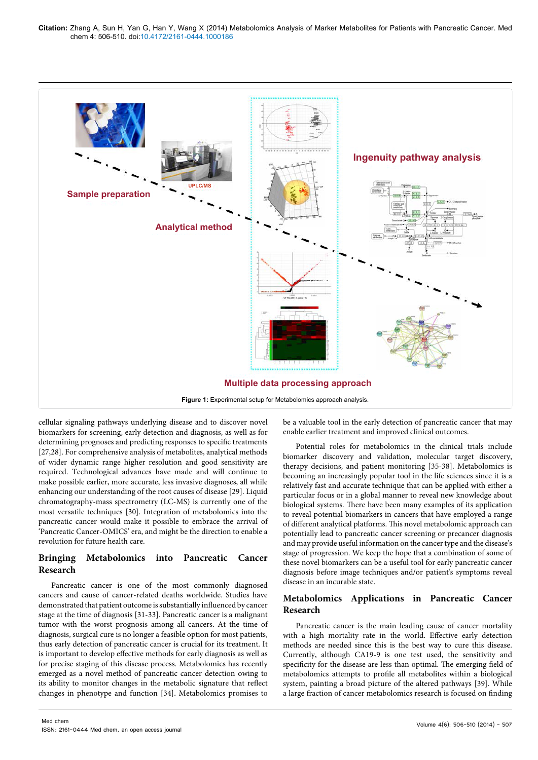

cellular signaling pathways underlying disease and to discover novel biomarkers for screening, early detection and diagnosis, as well as for determining prognoses and predicting responses to specific treatments [27,28]. For comprehensive analysis of metabolites, analytical methods of wider dynamic range higher resolution and good sensitivity are required. Technological advances have made and will continue to make possible earlier, more accurate, less invasive diagnoses, all while enhancing our understanding of the root causes of disease [29]. Liquid chromatography-mass spectrometry (LC-MS) is currently one of the most versatile techniques [30]. Integration of metabolomics into the pancreatic cancer would make it possible to embrace the arrival of 'Pancreatic Cancer-OMICS' era, and might be the direction to enable a revolution for future health care.

# **Bringing Metabolomics into Pancreatic Cancer Research**

Pancreatic cancer is one of the most commonly diagnosed cancers and cause of cancer-related deaths worldwide. Studies have demonstrated that patient outcome is substantially influenced by cancer stage at the time of diagnosis [31-33]. Pancreatic cancer is a malignant tumor with the worst prognosis among all cancers. At the time of diagnosis, surgical cure is no longer a feasible option for most patients, thus early detection of pancreatic cancer is crucial for its treatment. It is important to develop effective methods for early diagnosis as well as for precise staging of this disease process. Metabolomics has recently emerged as a novel method of pancreatic cancer detection owing to its ability to monitor changes in the metabolic signature that reflect changes in phenotype and function [34]. Metabolomics promises to

be a valuable tool in the early detection of pancreatic cancer that may enable earlier treatment and improved clinical outcomes.

Potential roles for metabolomics in the clinical trials include biomarker discovery and validation, molecular target discovery, therapy decisions, and patient monitoring [35-38]. Metabolomics is becoming an increasingly popular tool in the life sciences since it is a relatively fast and accurate technique that can be applied with either a particular focus or in a global manner to reveal new knowledge about biological systems. There have been many examples of its application to reveal potential biomarkers in cancers that have employed a range of different analytical platforms. This novel metabolomic approach can potentially lead to pancreatic cancer screening or precancer diagnosis and may provide useful information on the cancer type and the disease's stage of progression. We keep the hope that a combination of some of these novel biomarkers can be a useful tool for early pancreatic cancer diagnosis before image techniques and/or patient's symptoms reveal disease in an incurable state.

# **Metabolomics Applications in Pancreatic Cancer Research**

Pancreatic cancer is the main leading cause of cancer mortality with a high mortality rate in the world. Effective early detection methods are needed since this is the best way to cure this disease. Currently, although CA19-9 is one test used, the sensitivity and specificity for the disease are less than optimal. The emerging field of metabolomics attempts to profile all metabolites within a biological system, painting a broad picture of the altered pathways [39]. While a large fraction of cancer metabolomics research is focused on finding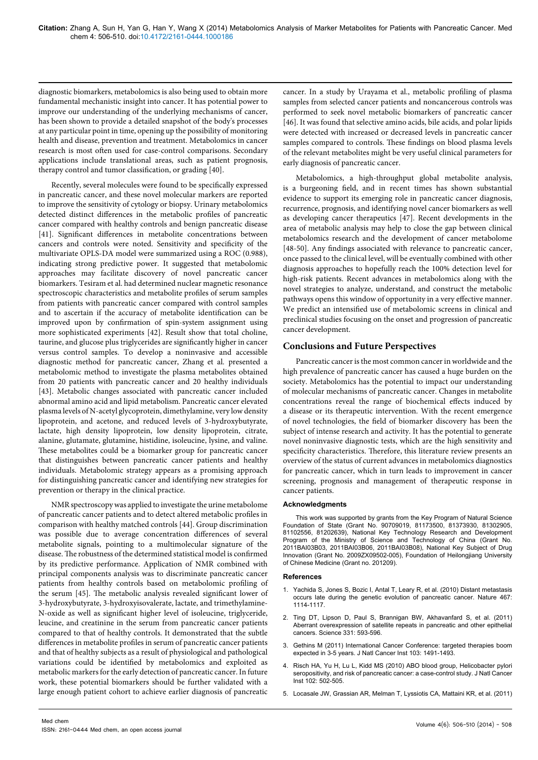diagnostic biomarkers, metabolomics is also being used to obtain more fundamental mechanistic insight into cancer. It has potential power to improve our understanding of the underlying mechanisms of cancer, has been shown to provide a detailed snapshot of the body's processes at any particular point in time, opening up the possibility of monitoring health and disease, prevention and treatment. Metabolomics in cancer research is most often used for case-control comparisons. Secondary applications include translational areas, such as patient prognosis, therapy control and tumor classification, or grading [40].

Recently, several molecules were found to be specifically expressed in pancreatic cancer, and these novel molecular markers are reported to improve the sensitivity of cytology or biopsy. Urinary metabolomics detected distinct differences in the metabolic profiles of pancreatic cancer compared with healthy controls and benign pancreatic disease [[41](http://www.ncbi.nlm.nih.gov/pubmed?term=Davis VW%5BAuthor%5D&cauthor=true&cauthor_uid=23096698)]. Significant differences in metabolite concentrations between cancers and controls were noted. Sensitivity and specificity of the multivariate OPLS-DA model were summarized using a ROC (0.988), indicating strong predictive power. It suggested that metabolomic approaches may facilitate discovery of novel pancreatic cancer biomarkers. [Tesiram](http://www.ncbi.nlm.nih.gov/pubmed?term=Tesiram YA%5BAuthor%5D&cauthor=true&cauthor_uid=23096698) et al. had determined nuclear magnetic resonance spectroscopic characteristics and metabolite profiles of serum samples from patients with pancreatic cancer compared with control samples and to ascertain if the accuracy of metabolite identification can be improved upon by confirmation of spin-system assignment using more sophisticated experiments [\[42\]](http://www.ncbi.nlm.nih.gov/pubmed?term=Tesiram YA%5BAuthor%5D&cauthor=true&cauthor_uid=23096698). Result show that total choline, taurine, and glucose plus triglycerides are significantly higher in cancer versus control samples. To develop a noninvasive and accessible diagnostic method for pancreatic cancer, [Zhang](http://www.ncbi.nlm.nih.gov/pubmed?term=Zhang L%5BAuthor%5D&cauthor=true&cauthor_uid=23096698) et al*.* presented a metabolomic method to investigate the plasma metabolites obtained from 20 patients with pancreatic cancer and 20 healthy individuals [[43](http://www.ncbi.nlm.nih.gov/pubmed?term=Zhang L%5BAuthor%5D&cauthor=true&cauthor_uid=23096698)]. Metabolic changes associated with pancreatic cancer included abnormal amino acid and lipid metabolism. Pancreatic cancer elevated plasma levels of N-acetyl glycoprotein, dimethylamine, very low density lipoprotein, and acetone, and reduced levels of 3-hydroxybutyrate, lactate, high density lipoprotein, low density lipoprotein, citrate, alanine, glutamate, glutamine, histidine, isoleucine, lysine, and valine. These metabolites could be a biomarker group for pancreatic cancer that distinguishes between pancreatic cancer patients and healthy individuals. Metabolomic strategy appears as a promising approach for distinguishing pancreatic cancer and identifying new strategies for prevention or therapy in the clinical practice.

NMR spectroscopy was applied to investigate the urine metabolome of pancreatic cancer patients and to detect altered metabolic profiles in comparison with healthy matched controls [\[44](http://www.ncbi.nlm.nih.gov/pubmed?term=Napoli C%5BAuthor%5D&cauthor=true&cauthor_uid=23096698)]. Group discrimination was possible due to average concentration differences of several metabolite signals, pointing to a multimolecular signature of the disease. The robustness of the determined statistical model is confirmed by its predictive performance. Application of NMR combined with principal components analysis was to discriminate pancreatic cancer patients from healthy controls based on metabolomic profiling of the serum [\[45](http://www.ncbi.nlm.nih.gov/pubmed?term=OuYang D%5BAuthor%5D&cauthor=true&cauthor_uid=23096698)]. The metabolic analysis revealed significant lower of 3-hydroxybutyrate, 3-hydroxyisovalerate, lactate, and trimethylamine-N-oxide as well as significant higher level of isoleucine, triglyceride, leucine, and creatinine in the serum from pancreatic cancer patients compared to that of healthy controls. It demonstrated that the subtle differences in metabolite profiles in serum of pancreatic cancer patients and that of healthy subjects as a result of physiological and pathological variations could be identified by metabolomics and exploited as metabolic markers for the early detection of pancreatic cancer. In future work, these potential biomarkers should be further validated with a large enough patient cohort to achieve earlier diagnosis of pancreatic cancer. In a study by Urayama et al., metabolic profiling of plasma samples from selected cancer patients and noncancerous controls was performed to seek novel metabolic biomarkers of pancreatic cancer [\[46\]](http://www.ncbi.nlm.nih.gov/pubmed?term=Urayama S%5BAuthor%5D&cauthor=true&cauthor_uid=23096698). It was found that selective amino acids, bile acids, and polar lipids were detected with increased or decreased levels in pancreatic cancer samples compared to controls. These findings on blood plasma levels of the relevant metabolites might be very useful clinical parameters for early diagnosis of pancreatic cancer.

Metabolomics, a high-throughput global metabolite analysis, is a burgeoning field, and in recent times has shown substantial evidence to support its emerging role in pancreatic cancer diagnosis, recurrence, prognosis, and identifying novel cancer biomarkers as well as developing cancer therapeutics [47]. Recent developments in the area of metabolic analysis may help to close the gap between clinical metabolomics research and the development of cancer metabolome [48-50]. Any findings associated with relevance to pancreatic cancer, once passed to the clinical level, will be eventually combined with other diagnosis approaches to hopefully reach the 100% detection level for high-risk patients. Recent advances in metabolomics along with the novel strategies to analyze, understand, and construct the metabolic pathways opens this window of opportunity in a very effective manner. We predict an intensified use of metabolomic screens in clinical and preclinical studies focusing on the onset and progression of pancreatic cancer development.

## **Conclusions and Future Perspectives**

Pancreatic cancer is the most common cancer in worldwide and the high prevalence of pancreatic cancer has caused a huge burden on the society. Metabolomics has the potential to impact our understanding of molecular mechanisms of pancreatic cancer. Changes in metabolite concentrations reveal the range of biochemical effects induced by a disease or its therapeutic intervention. With the recent emergence of novel technologies, the field of biomarker discovery has been the subject of intense research and activity. It has the potential to generate novel noninvasive diagnostic tests, which are the high sensitivity and specificity characteristics. Therefore, this literature review presents an overview of the status of current advances in metabolomics diagnostics for pancreatic cancer, which in turn leads to improvement in cancer screening, prognosis and management of therapeutic response in cancer patients.

#### **Acknowledgments**

This work was supported by grants from the Key Program of Natural Science Foundation of State (Grant No. 90709019, 81173500, 81373930, 81302905, 81102556, 81202639), National Key Technology Research and Development Program of the Ministry of Science and Technology of China (Grant No. 2011BAI03B03, 2011BAI03B06, 2011BAI03B08), National Key Subject of Drug Innovation (Grant No. 2009ZX09502-005), Foundation of Heilongjiang University of Chinese Medicine (Grant no. 201209).

#### **References**

- Yachida S, Jones S, Bozic I, Antal T, Leary R, et al. (2010) Distant metastasis [occurs late during the genetic evolution of pancreatic cancer. Nature 467:](http://www.ncbi.nlm.nih.gov/pubmed/20981102)  [1114-1117.](http://www.ncbi.nlm.nih.gov/pubmed/20981102)
- 2. [Ting DT, Lipson D, Paul S, Brannigan BW, Akhavanfard S, et al. \(2011\)](http://www.ncbi.nlm.nih.gov/pubmed/21233348)  [Aberrant overexpression of satellite repeats in pancreatic and other epithelial](http://www.ncbi.nlm.nih.gov/pubmed/21233348)  [cancers. Science 331: 593-596.](http://www.ncbi.nlm.nih.gov/pubmed/21233348)
- 3. [Gethins M \(2011\) International Cancer Conference: targeted therapies boom](http://www.ncbi.nlm.nih.gov/pubmed/21972228)  [expected in 3-5 years. J Natl Cancer Inst 103: 1491-1493.](http://www.ncbi.nlm.nih.gov/pubmed/21972228)
- 4. [Risch HA, Yu H, Lu L, Kidd MS \(2010\) ABO blood group, Helicobacter pylori](http://www.ncbi.nlm.nih.gov/pubmed/20181960)  [seropositivity, and risk of pancreatic cancer: a case-control study. J Natl Cancer](http://www.ncbi.nlm.nih.gov/pubmed/20181960)  [Inst 102: 502-505.](http://www.ncbi.nlm.nih.gov/pubmed/20181960)
- 5. [Locasale JW, Grassian AR, Melman T, Lyssiotis CA, Mattaini KR, et al. \(2011\)](http://www.ncbi.nlm.nih.gov/pubmed/21804546)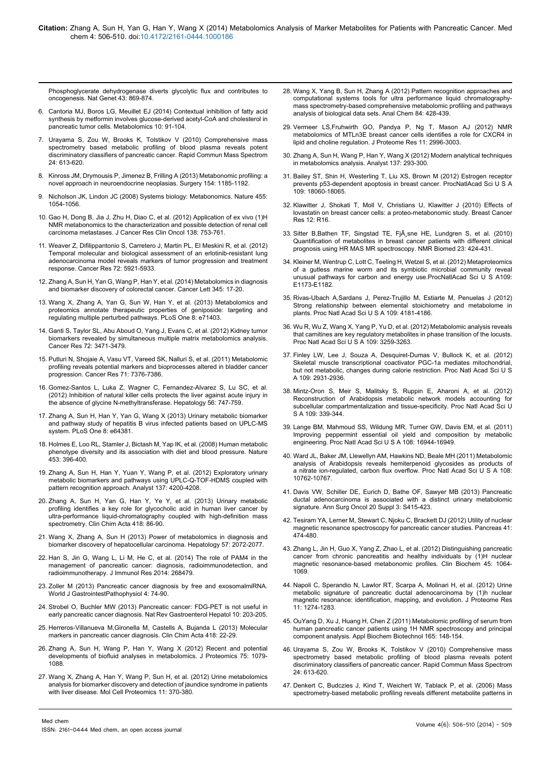[Phosphoglycerate dehydrogenase diverts glycolytic flux and contributes to](http://www.ncbi.nlm.nih.gov/pubmed/21804546) [oncogenesis. Nat Genet 43: 869-874.](http://www.ncbi.nlm.nih.gov/pubmed/21804546)

- 6. [Cantoria MJ, Boros LG, Meuillet EJ \(2014\) Contextual inhibition of fatty acid](http://www.ncbi.nlm.nih.gov/pubmed/24482631) [synthesis by metformin involves glucose-derived acetyl-CoA and cholesterol in](http://www.ncbi.nlm.nih.gov/pubmed/24482631) [pancreatic tumor cells. Metabolomics 10: 91-104.](http://www.ncbi.nlm.nih.gov/pubmed/24482631)
- 7. [Urayama S, Zou W, Brooks K, Tolstikov V \(2010\) Comprehensive mass](http://www.ncbi.nlm.nih.gov/pubmed/20143319) [spectrometry based metabolic profiling of blood plasma reveals potent](http://www.ncbi.nlm.nih.gov/pubmed/20143319) [discriminatory classifiers of pancreatic cancer. Rapid Commun Mass Spectrom](http://www.ncbi.nlm.nih.gov/pubmed/20143319) [24: 613-620.](http://www.ncbi.nlm.nih.gov/pubmed/20143319)
- 8. [Kinross JM, Drymousis P, Jimenez B, Frilling A \(2013\) Metabonomic profiling: a](http://www.ncbi.nlm.nih.gov/pubmed/24383116) [novel approach in neuroendocrine neoplasias. Surgery 154: 1185-1192.](http://www.ncbi.nlm.nih.gov/pubmed/24383116)
- 9. [Nicholson JK, Lindon JC \(2008\) Systems biology: Metabonomics. Nature 455:](http://www.ncbi.nlm.nih.gov/pubmed/18948945) [1054-1056.](http://www.ncbi.nlm.nih.gov/pubmed/18948945)
- 10. [Gao H, Dong B, Jia J, Zhu H, Diao C, et al. \(2012\) Application of ex vivo \(1\)H](http://www.ncbi.nlm.nih.gov/pubmed/22258851) [NMR metabonomics to the characterization and possible detection of renal cell](http://www.ncbi.nlm.nih.gov/pubmed/22258851) [carcinoma metastases. J Cancer Res Clin Oncol 138: 753-761.](http://www.ncbi.nlm.nih.gov/pubmed/22258851)
- 11. [Weaver Z, Difilippantonio S, Carretero J, Martin PL, El Meskini R, et al. \(2012\)](http://www.ncbi.nlm.nih.gov/pubmed/22969147) [Temporal molecular and biological assessment of an erlotinib-resistant lung](http://www.ncbi.nlm.nih.gov/pubmed/22969147) [adenocarcinoma model reveals markers of tumor progression and treatment](http://www.ncbi.nlm.nih.gov/pubmed/22969147) [response. Cancer Res 72: 5921-5933.](http://www.ncbi.nlm.nih.gov/pubmed/22969147)
- 12. [Zhang A, Sun H, Yan G, Wang P, Han Y, et al. \(2014\) Metabolomics in diagnosis](http://www.ncbi.nlm.nih.gov/pubmed/24333717) [and biomarker discovery of colorectal cancer. Cancer Lett 345: 17-20.](http://www.ncbi.nlm.nih.gov/pubmed/24333717)
- 13. [Wang X, Zhang A, Yan G, Sun W, Han Y, et al. \(2013\) Metabolomics and](http://www.ncbi.nlm.nih.gov/pubmed/23967205) [proteomics annotate therapeutic properties of geniposide: targeting and](http://www.ncbi.nlm.nih.gov/pubmed/23967205) [regulating multiple perturbed pathways. PLoS One 8: e71403.](http://www.ncbi.nlm.nih.gov/pubmed/23967205)
- 14. [Ganti S, Taylor SL, Abu Aboud O, Yang J, Evans C, et al. \(2012\) Kidney tumor](http://www.ncbi.nlm.nih.gov/pubmed/22628425) [biomarkers revealed by simultaneous multiple matrix metabolomics analysis.](http://www.ncbi.nlm.nih.gov/pubmed/22628425) [Cancer Res 72: 3471-3479.](http://www.ncbi.nlm.nih.gov/pubmed/22628425)
- 15. [Putluri N, Shojaie A, Vasu VT, Vareed SK, Nalluri S, et al. \(2011\) Metabolomic](http://www.ncbi.nlm.nih.gov/pubmed/21990318) [profiling reveals potential markers and bioprocesses altered in bladder cancer](http://www.ncbi.nlm.nih.gov/pubmed/21990318) [progression. Cancer Res 71: 7376-7386.](http://www.ncbi.nlm.nih.gov/pubmed/21990318)
- 16. [Gomez-Santos L, Luka Z, Wagner C, Fernandez-Alvarez S, Lu SC, et al.](http://www.ncbi.nlm.nih.gov/pubmed/22392635) [\(2012\) Inhibition of natural killer cells protects the liver against acute injury in](http://www.ncbi.nlm.nih.gov/pubmed/22392635) [the absence of glycine N-methyltransferase. Hepatology 56: 747-759](http://www.ncbi.nlm.nih.gov/pubmed/22392635).
- 17. [Zhang A, Sun H, Han Y, Yan G, Wang X \(2013\) Urinary metabolic biomarker](http://www.ncbi.nlm.nih.gov/pubmed/23696887) [and pathway study of hepatitis B virus infected patients based on UPLC-MS](http://www.ncbi.nlm.nih.gov/pubmed/23696887) [system. PLoS One 8: e64381.](http://www.ncbi.nlm.nih.gov/pubmed/23696887)
- 18. [Holmes E, Loo RL, Stamler J, Bictash M, Yap IK, et al. \(2008\) Human metabolic](http://www.ncbi.nlm.nih.gov/pubmed/18425110) [phenotype diversity and its association with diet and blood pressure. Nature](http://www.ncbi.nlm.nih.gov/pubmed/18425110) [453: 396-400.](http://www.ncbi.nlm.nih.gov/pubmed/18425110)
- 19. [Zhang A, Sun H, Han Y, Yuan Y, Wang P, et al. \(2012\) Exploratory urinary](http://www.ncbi.nlm.nih.gov/pubmed/22852134) [metabolic biomarkers and pathways using UPLC-Q-TOF-HDMS coupled with](http://www.ncbi.nlm.nih.gov/pubmed/22852134) [pattern recognition approach. Analyst 137: 4200-4208.](http://www.ncbi.nlm.nih.gov/pubmed/22852134)
- 20. [Zhang A, Sun H, Yan G, Han Y, Ye Y, et al. \(2013\) Urinary metabolic](http://www.ncbi.nlm.nih.gov/pubmed/23313056) [profiling identifies a key role for glycocholic acid in human liver cancer by](http://www.ncbi.nlm.nih.gov/pubmed/23313056) [ultra-performance liquid-chromatography coupled with high-definition mass](http://www.ncbi.nlm.nih.gov/pubmed/23313056) [spectrometry. Clin Chim Acta 418: 86-90.](http://www.ncbi.nlm.nih.gov/pubmed/23313056)
- 21. [Wang X, Zhang A, Sun H \(2013\) Power of metabolomics in diagnosis and](http://www.ncbi.nlm.nih.gov/pubmed/23150189) [biomarker discovery of hepatocellular carcinoma. Hepatology 57: 2072-2077.](http://www.ncbi.nlm.nih.gov/pubmed/23150189)
- 22. [Han S, Jin G, Wang L, Li M, He C, et al. \(2014\) The role of PAM4 in the](http://www.ncbi.nlm.nih.gov/pubmed/24818166) [management of pancreatic cancer: diagnosis, radioimmunodetection, and](http://www.ncbi.nlm.nih.gov/pubmed/24818166) [radioimmunotherapy. J Immunol Res 2014: 268479.](http://www.ncbi.nlm.nih.gov/pubmed/24818166)
- 23. [Zoller M \(2013\) Pancreatic cancer diagnosis by free and exosomalmiRNA.](http://www.ncbi.nlm.nih.gov/pubmed/24340225) [World J GastrointestPathophysiol 4: 74-90.](http://www.ncbi.nlm.nih.gov/pubmed/24340225)
- 24. [Strobel O, Buchler MW \(2013\) Pancreatic cancer: FDG-PET is not useful in](http://www.ncbi.nlm.nih.gov/pubmed/23478386) [early pancreatic cancer diagnosis. Nat Rev Gastroenterol Hepatol 10: 203-205.](http://www.ncbi.nlm.nih.gov/pubmed/23478386)
- 25. [Herreros-Villanueva M,Gironella M, Castells A, Bujanda L \(2013\) Molecular](http://www.ncbi.nlm.nih.gov/pubmed/23305796) [markers in pancreatic cancer diagnosis. Clin Chim Acta 418: 22-29.](http://www.ncbi.nlm.nih.gov/pubmed/23305796)
- 26. [Zhang A, Sun H, Wang P, Han Y, Wang X \(2012\) Recent and potential](http://www.ncbi.nlm.nih.gov/pubmed/22079244) [developments of biofluid analyses in metabolomics. J Proteomics 75: 1079-](http://www.ncbi.nlm.nih.gov/pubmed/22079244) [1088.](http://www.ncbi.nlm.nih.gov/pubmed/22079244)
- 27. [Wang X, Zhang A, Han Y, Wang P, Sun H, et al. \(2012\) Urine metabolomics](http://www.ncbi.nlm.nih.gov/pubmed/22505723) [analysis for biomarker discovery and detection of jaundice syndrome in patients](http://www.ncbi.nlm.nih.gov/pubmed/22505723) [with liver disease. Mol Cell Proteomics 11: 370-380.](http://www.ncbi.nlm.nih.gov/pubmed/22505723)
- 28. [Wang X, Yang B, Sun H, Zhang A \(2012\) Pattern recognition approaches and](http://www.ncbi.nlm.nih.gov/pubmed/22132738)  [computational systems tools for ultra performance liquid chromatography](http://www.ncbi.nlm.nih.gov/pubmed/22132738)[mass spectrometry-based comprehensive metabolomic profiling and pathways](http://www.ncbi.nlm.nih.gov/pubmed/22132738)  [analysis of biological data sets. Anal Chem 84: 428-439.](http://www.ncbi.nlm.nih.gov/pubmed/22132738)
- 29. [Vermeer LS,Fruhwirth GO, Pandya P, Ng T, Mason AJ \(2012\) NMR](http://www.ncbi.nlm.nih.gov/pubmed/22432781)  metabolomics of MTLn3E breast cancer cells identifies a role for CXCR4 in [lipid and choline regulation. J Proteome Res 11: 2996-3003.](http://www.ncbi.nlm.nih.gov/pubmed/22432781)
- 30. [Zhang A, Sun H, Wang P, Han Y, Wang X \(2012\) Modern analytical techniques](http://www.ncbi.nlm.nih.gov/pubmed/22102985)  [in metabolomics analysis. Analyst 137: 293-300.](http://www.ncbi.nlm.nih.gov/pubmed/22102985)
- 31. [Bailey ST, Shin H, Westerling T, Liu XS, Brown M \(2012\) Estrogen receptor](http://www.ncbi.nlm.nih.gov/pubmed/23077249)  [prevents p53-dependent apoptosis in breast cancer. ProcNatlAcad Sci U S A](http://www.ncbi.nlm.nih.gov/pubmed/23077249)  [109: 18060-18065.](http://www.ncbi.nlm.nih.gov/pubmed/23077249)
- 32. [Klawitter J, Shokati T, Moll V, Christians U, Klawitter J \(2010\) Effects of](http://www.ncbi.nlm.nih.gov/pubmed/20205716)  [lovastatin on breast cancer cells: a proteo-metabonomic study. Breast Cancer](http://www.ncbi.nlm.nih.gov/pubmed/20205716)  [Res 12: R16.](http://www.ncbi.nlm.nih.gov/pubmed/20205716)
- 33. Sitter B, Bathen TF, Singstad TE, Fj Ä sne HE, Lundgren S, et al. (2010) [Quantification of metabolites in breast cancer patients with different clinical](http://www.ncbi.nlm.nih.gov/pubmed/20101607)  [prognosis using HR MAS MR spectroscopy. NMR Biomed 23: 424-431.](http://www.ncbi.nlm.nih.gov/pubmed/20101607)
- 34. [Kleiner M, Wentrup C, Lott C, Teeling H, Wetzel S, et al. \(2012\) Metaproteomics](http://www.ncbi.nlm.nih.gov/pubmed/22517752)  [of a gutless marine worm and its symbiotic microbial community reveal](http://www.ncbi.nlm.nih.gov/pubmed/22517752)  [unusual pathways for carbon and energy use.ProcNatlAcad Sci U S A109:](http://www.ncbi.nlm.nih.gov/pubmed/22517752)  [E1173-E1182.](http://www.ncbi.nlm.nih.gov/pubmed/22517752)
- 35. [Rivas-Ubach A,Sardans J, Perez-Trujillo M, Estiarte M, Penuelas J \(2012\)](http://www.ncbi.nlm.nih.gov/pubmed/22371578)  [Strong relationship between elemental stoichiometry and metabolome in](http://www.ncbi.nlm.nih.gov/pubmed/22371578)  [plants. Proc Natl Acad Sci U S A 109: 4181-4186.](http://www.ncbi.nlm.nih.gov/pubmed/22371578)
- 36. [Wu R, Wu Z, Wang X, Yang P, Yu D, et al. \(2012\) Metabolomic analysis reveals](http://www.ncbi.nlm.nih.gov/pubmed/22328148)  [that carnitines are key regulatory metabolites in phase transition of the locusts.](http://www.ncbi.nlm.nih.gov/pubmed/22328148)  [Proc Natl Acad Sci U S A 109: 3259-3263.](http://www.ncbi.nlm.nih.gov/pubmed/22328148)
- 37. [Finley LW, Lee J, Souza A, Desquiret-Dumas V, Bullock K, et al. \(2012\)](http://www.ncbi.nlm.nih.gov/pubmed/22308395)  [Skeletal muscle transcriptional coactivator PGC-1a mediates mitochondrial,](http://www.ncbi.nlm.nih.gov/pubmed/22308395)  [but not metabolic, changes during calorie restriction. Proc Natl Acad Sci U S](http://www.ncbi.nlm.nih.gov/pubmed/22308395)  [A 109: 2931-2936.](http://www.ncbi.nlm.nih.gov/pubmed/22308395)
- 38. [Mintz-Oron S, Meir S, Malitsky S, Ruppin E, Aharoni A, et al. \(2012\)](http://www.ncbi.nlm.nih.gov/pubmed/22184215)  [Reconstruction of Arabidopsis metabolic network models accounting for](http://www.ncbi.nlm.nih.gov/pubmed/22184215)  [subcellular compartmentalization and tissue-specificity. Proc Natl Acad Sci U](http://www.ncbi.nlm.nih.gov/pubmed/22184215)  [S A 109: 339-344.](http://www.ncbi.nlm.nih.gov/pubmed/22184215)
- 39. [Lange BM, Mahmoud SS, Wildung MR, Turner GW, Davis EM, et al. \(2011\)](http://www.ncbi.nlm.nih.gov/pubmed/21963983)  [Improving peppermint essential oil yield and composition by metabolic](http://www.ncbi.nlm.nih.gov/pubmed/21963983)  [engineering. Proc Natl Acad Sci U S A 108: 16944-16949.](http://www.ncbi.nlm.nih.gov/pubmed/21963983)
- 40. [Ward JL, Baker JM, Llewellyn AM, Hawkins ND, Beale MH \(2011\) Metabolomic](http://www.ncbi.nlm.nih.gov/pubmed/21670294)  [analysis of Arabidopsis reveals hemiterpenoid glycosides as products of](http://www.ncbi.nlm.nih.gov/pubmed/21670294)  [a nitrate ion-regulated, carbon flux overflow. Proc Natl Acad Sci U S A 108:](http://www.ncbi.nlm.nih.gov/pubmed/21670294)  [10762-10767.](http://www.ncbi.nlm.nih.gov/pubmed/21670294)
- 41. [Davis VW, Schiller DE, Eurich D, Bathe OF, Sawyer MB \(2013\) Pancreatic](http://www.ncbi.nlm.nih.gov/pubmed/23096698)  [ductal adenocarcinoma is associated with a distinct urinary metabolomic](http://www.ncbi.nlm.nih.gov/pubmed/23096698)  [signature. Ann Surg Oncol 20 Suppl 3: S415-423.](http://www.ncbi.nlm.nih.gov/pubmed/23096698)
- 42. [Tesiram YA, Lerner M, Stewart C, Njoku C, Brackett DJ \(2012\) Utility of nuclear](http://www.ncbi.nlm.nih.gov/pubmed/22422139)  [magnetic resonance spectroscopy for pancreatic cancer studies. Pancreas 41:](http://www.ncbi.nlm.nih.gov/pubmed/22422139)  [474-480.](http://www.ncbi.nlm.nih.gov/pubmed/22422139)
- 43. [Zhang L, Jin H, Guo X, Yang Z, Zhao L, et al. \(2012\) Distinguishing pancreatic](http://www.ncbi.nlm.nih.gov/pubmed/22613268)  [cancer from chronic pancreatitis and healthy individuals by \(1\)H nuclear](http://www.ncbi.nlm.nih.gov/pubmed/22613268)  [magnetic resonance-based metabonomic profiles. Clin Biochem 45: 1064-](http://www.ncbi.nlm.nih.gov/pubmed/22613268) [1069.](http://www.ncbi.nlm.nih.gov/pubmed/22613268)
- 44. [Napoli C, Sperandio N, Lawlor RT, Scarpa A, Molinari H, et al. \(2012\) Urine](http://www.ncbi.nlm.nih.gov/pubmed/22066465)  [metabolic signature of pancreatic ductal adenocarcinoma by \(1\)h nuclear](http://www.ncbi.nlm.nih.gov/pubmed/22066465)  [magnetic resonance: identification, mapping, and evolution. J Proteome Res](http://www.ncbi.nlm.nih.gov/pubmed/22066465)  [11: 1274-1283.](http://www.ncbi.nlm.nih.gov/pubmed/22066465)
- 45. [OuYang D, Xu J, Huang H, Chen Z \(2011\) Metabolomic profiling of serum from](http://www.ncbi.nlm.nih.gov/pubmed/21505807)  [human pancreatic cancer patients using 1H NMR spectroscopy and principal](http://www.ncbi.nlm.nih.gov/pubmed/21505807)  [component analysis. Appl Biochem Biotechnol 165: 148-154.](http://www.ncbi.nlm.nih.gov/pubmed/21505807)
- 46. [Urayama S, Zou W, Brooks K, Tolstikov V \(2010\) Comprehensive mass](http://www.ncbi.nlm.nih.gov/pubmed/20143319)  [spectrometry based metabolic profiling of blood plasma reveals potent](http://www.ncbi.nlm.nih.gov/pubmed/20143319)  [discriminatory classifiers of pancreatic cancer. Rapid Commun Mass Spectrom](http://www.ncbi.nlm.nih.gov/pubmed/20143319)  [24: 613-620.](http://www.ncbi.nlm.nih.gov/pubmed/20143319)
- 47. [Denkert C, Budczies J, Kind T, Weichert W, Tablack P, et al. \(2006\) Mass](http://www.ncbi.nlm.nih.gov/pubmed/17108116)  [spectrometry-based metabolic profiling reveals different metabolite patterns in](http://www.ncbi.nlm.nih.gov/pubmed/17108116)